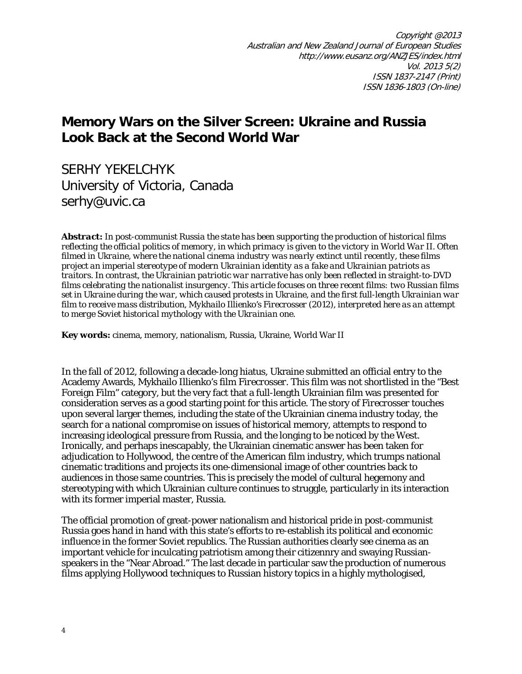## **Memory Wars on the Silver Screen: Ukraine and Russia Look Back at the Second World War**

SERHY YEKELCHYK University of Victoria, Canada [serhy@uvic.ca](mailto:serhy@uvic.ca)

*Abstract: In post-communist Russia the state has been supporting the production of historical films reflecting the official politics of memory, in which primacy is given to the victory in World War II. Often filmed in Ukraine, where the national cinema industry was nearly extinct until recently, these films project an imperial stereotype of modern Ukrainian identity as a fake and Ukrainian patriots as traitors. In contrast, the Ukrainian patriotic war narrative has only been reflected in straight-to-DVD films celebrating the nationalist insurgency. This article focuses on three recent films: two Russian films set in Ukraine during the war, which caused protests in Ukraine, and the first full-length Ukrainian war film to receive mass distribution, Mykhailo Illienko's Firecrosser (2012), interpreted here as an attempt to merge Soviet historical mythology with the Ukrainian one.*

**Key words:** cinema, memory, nationalism, Russia, Ukraine, World War II

In the fall of 2012, following a decade-long hiatus, Ukraine submitted an official entry to the Academy Awards, Mykhailo Illienko's film *Firecrosser*. This film was not shortlisted in the "Best Foreign Film" category, but the very fact that a full-length Ukrainian film was presented for consideration serves as a good starting point for this article. The story of *Firecrosser* touches upon several larger themes, including the state of the Ukrainian cinema industry today, the search for a national compromise on issues of historical memory, attempts to respond to increasing ideological pressure from Russia, and the longing to be noticed by the West. Ironically, and perhaps inescapably, the Ukrainian cinematic answer has been taken for adjudication to Hollywood, the centre of the American film industry, which trumps national cinematic traditions and projects its one-dimensional image of other countries back to audiences in those same countries. This is precisely the model of cultural hegemony and stereotyping with which Ukrainian culture continues to struggle, particularly in its interaction with its former imperial master, Russia.

The official promotion of great-power nationalism and historical pride in post-communist Russia goes hand in hand with this state's efforts to re-establish its political and economic influence in the former Soviet republics. The Russian authorities clearly see cinema as an important vehicle for inculcating patriotism among their citizennry and swaying Russianspeakers in the "Near Abroad." The last decade in particular saw the production of numerous films applying Hollywood techniques to Russian history topics in a highly mythologised,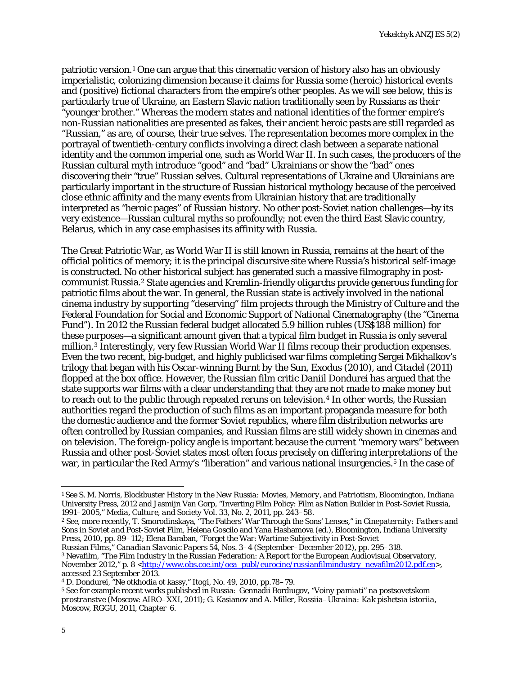patriotic version.<sup>[1](#page-1-0)</sup> One can argue that this cinematic version of history also has an obviously imperialistic, colonizing dimension because it claims for Russia some (heroic) historical events and (positive) fictional characters from the empire's other peoples. As we will see below, this is particularly true of Ukraine, an Eastern Slavic nation traditionally seen by Russians as their "younger brother." Whereas the modern states and national identities of the former empire's non-Russian nationalities are presented as fakes, their ancient heroic pasts are still regarded as "Russian," as are, of course, their true selves. The representation becomes more complex in the portrayal of twentieth-century conflicts involving a direct clash between a separate national identity and the common imperial one, such as World War II. In such cases, the producers of the Russian cultural myth introduce "good" and "bad" Ukrainians or show the "bad" ones discovering their "true" Russian selves. Cultural representations of Ukraine and Ukrainians are particularly important in the structure of Russian historical mythology because of the perceived close ethnic affinity and the many events from Ukrainian history that are traditionally interpreted as "heroic pages" of Russian history. No other post-Soviet nation challenges—by its very existence—Russian cultural myths so profoundly; not even the third East Slavic country, Belarus, which in any case emphasises its affinity with Russia.

The Great Patriotic War, as World War II is still known in Russia, remains at the heart of the official politics of memory; it is the principal discursive site where Russia's historical self-image is constructed. No other historical subject has generated such a massive filmography in postcommunist Russia.[2](#page-1-1) State agencies and Kremlin-friendly oligarchs provide generous funding for patriotic films about the war. In general, the Russian state is actively involved in the national cinema industry by supporting "deserving" film projects through the Ministry of Culture and the Federal Foundation for Social and Economic Support of National Cinematography (the "Cinema Fund"). In 2012 the Russian federal budget allocated 5.9 billion rubles (US\$188 million) for these purposes—a significant amount given that a typical film budget in Russia is only several million.[3](#page-1-2) Interestingly, very few Russian World War II films recoup their production expenses. Even the two recent, big-budget, and highly publicised war films completing Sergei Mikhalkov's trilogy that began with his Oscar-winning *Burnt by the Sun*, *Exodus* (2010), and *Citadel* (2011) flopped at the box office. However, the Russian film critic Daniil Dondurei has argued that the state supports war films with a clear understanding that they are not made to make money but to reach out to the public through repeated reruns on television.<sup>[4](#page-1-3)</sup> In other words, the Russian authorities regard the production of such films as an important propaganda measure for both the domestic audience and the former Soviet republics, where film distribution networks are often controlled by Russian companies, and Russian films are still widely shown in cinemas and on television. The foreign-policy angle is important because the current "memory wars" between Russia and other post-Soviet states most often focus precisely on differing interpretations of the war, in particular the Red Army's "liberation" and various national insurgencies.<sup>[5](#page-1-4)</sup> In the case of

<span id="page-1-2"></span>Russian Films," *Canadian Slavonic Papers* 54, Nos. 3–4 (September–December 2012), pp. 295–318. <sup>3</sup> Nevafilm, "The Film Industry in the Russian Federation: A Report for the European Audiovisual Observatory, November 2012," p. 8 [<http://www.obs.coe.int/oea\\_publ/eurocine/russianfilmindustry\\_nevafilm2012.pdf.en>](http://www.obs.coe.int/oea_publ/eurocine/russianfilmindustry_nevafilm2012.pdf.en), accessed 23 September 2013.

<span id="page-1-3"></span><sup>4</sup> D. Dondurei, "Ne otkhodia ot kassy," *Itogi*, No. 49, 2010, pp.78–79.

l

<span id="page-1-0"></span><sup>1</sup> See S. M. Norris, *Blockbuster History in the New Russia: Movies, Memory, and Patriotism*, Bloomington, Indiana University Press, 2012 and Jasmijn Van Gorp, "Inverting Film Policy: Film as Nation Builder in Post-Soviet Russia, 1991–2005," *Media, Culture, and Society* Vol. 33, No. 2, 2011, pp. 243–58.

<span id="page-1-1"></span><sup>2</sup> See, more recently, T. Smorodinskaya, "The Fathers' War Through the Sons' Lenses," in *Cinepaternity: Fathers and Sons in Soviet and Post-Soviet Film,* Helena Goscilo and Yana Hashamova (ed.), Bloomington, Indiana University Press, 2010, pp. 89–112; Elena Baraban, "Forget the War: Wartime Subjectivity in Post-Soviet

<span id="page-1-4"></span><sup>5</sup> See for example recent works published in Russia: Gennadii Bordiugov, *"Voiny pamiati" na postsovetskom prostranstve* (Moscow: AIRO–XXI, 2011); G. Kasianov and A. Miller, *Rossiia–Ukraina: Kak pishetsia istoriia*, Moscow, RGGU, 2011, Chapter 6.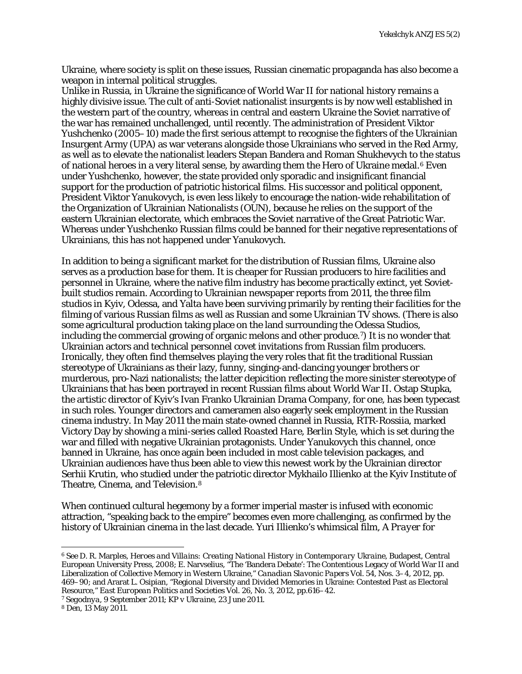Ukraine, where society is split on these issues, Russian cinematic propaganda has also become a weapon in internal political struggles.

Unlike in Russia, in Ukraine the significance of World War II for national history remains a highly divisive issue. The cult of anti-Soviet nationalist insurgents is by now well established in the western part of the country, whereas in central and eastern Ukraine the Soviet narrative of the war has remained unchallenged, until recently. The administration of President Viktor Yushchenko (2005–10) made the first serious attempt to recognise the fighters of the Ukrainian Insurgent Army (UPA) as war veterans alongside those Ukrainians who served in the Red Army, as well as to elevate the nationalist leaders Stepan Bandera and Roman Shukhevych to the status of national heroes in a very literal sense, by awarding them the Hero of Ukraine medal.<sup>[6](#page-2-0)</sup> Even under Yushchenko, however, the state provided only sporadic and insignificant financial support for the production of patriotic historical films. His successor and political opponent, President Viktor Yanukovych, is even less likely to encourage the nation-wide rehabilitation of the Organization of Ukrainian Nationalists (OUN), because he relies on the support of the eastern Ukrainian electorate, which embraces the Soviet narrative of the Great Patriotic War. Whereas under Yushchenko Russian films could be banned for their negative representations of Ukrainians, this has not happened under Yanukovych.

In addition to being a significant market for the distribution of Russian films, Ukraine also serves as a production base for them. It is cheaper for Russian producers to hire facilities and personnel in Ukraine, where the native film industry has become practically extinct, yet Sovietbuilt studios remain. According to Ukrainian newspaper reports from 2011, the three film studios in Kyiv, Odessa, and Yalta have been surviving primarily by renting their facilities for the filming of various Russian films as well as Russian and some Ukrainian TV shows. (There is also some agricultural production taking place on the land surrounding the Odessa Studios, including the commercial growing of organic melons and other produce.[7\)](#page-2-1) It is no wonder that Ukrainian actors and technical personnel covet invitations from Russian film producers. Ironically, they often find themselves playing the very roles that fit the traditional Russian stereotype of Ukrainians as their lazy, funny, singing-and-dancing younger brothers or murderous, pro-Nazi nationalists; the latter depicition reflecting the more sinister stereotype of Ukrainians that has been portrayed in recent Russian films about World War II. Ostap Stupka, the artistic director of Kyiv's Ivan Franko Ukrainian Drama Company, for one, has been typecast in such roles. Younger directors and cameramen also eagerly seek employment in the Russian cinema industry. In May 2011 the main state-owned channel in Russia, RTR-Rossiia, marked Victory Day by showing a mini-series called *Roasted Hare, Berlin Style*, which is set during the war and filled with negative Ukrainian protagonists. Under Yanukovych this channel, once banned in Ukraine, has once again been included in most cable television packages, and Ukrainian audiences have thus been able to view this newest work by the Ukrainian director Serhii Krutin, who studied under the patriotic director Mykhailo Illienko at the Kyiv Institute of Theatre, Cinema, and Television.[8](#page-2-2)

When continued cultural hegemony by a former imperial master is infused with economic attraction, "speaking back to the empire" becomes even more challenging, as confirmed by the history of Ukrainian cinema in the last decade. Yuri Illienko's whimsical film, *A Prayer for* 

<span id="page-2-1"></span><sup>7</sup> *Segodnya*, 9 September 2011; *KP v Ukraine*, 23 June 2011.

<span id="page-2-0"></span><sup>6</sup> See D. R. Marples, *Heroes and Villains: Creating National History in Contemporary Ukraine*, Budapest, Central European University Press, 2008; E. Narvselius, "The 'Bandera Debate': The Contentious Legacy of World War II and Liberalization of Collective Memory in Western Ukraine," *Canadian Slavonic Papers* Vol. 54, Nos. 3–4, 2012, pp. 469–90; and Ararat L. Osipian, "Regional Diversity and Divided Memories in Ukraine: Contested Past as Electoral Resource," *East European Politics and Societies* Vol. 26, No. 3, 2012, pp.616–42. l

<span id="page-2-2"></span><sup>8</sup> *Den*, 13 May 2011.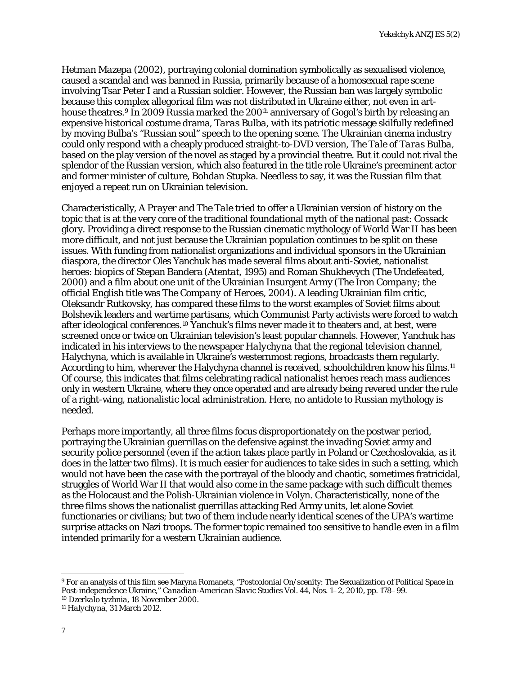*Hetman Mazepa* (2002), portraying colonial domination symbolically as sexualised violence, caused a scandal and was banned in Russia, primarily because of a homosexual rape scene involving Tsar Peter I and a Russian soldier. However, the Russian ban was largely symbolic because this complex allegorical film was not distributed in Ukraine either, not even in art-house theatres.<sup>[9](#page-3-0)</sup> In 2009 Russia marked the 200<sup>th</sup> anniversary of Gogol's birth by releasing an expensive historical costume drama, *Taras Bulba*, with its patriotic message skilfully redefined by moving Bulba's "Russian soul" speech to the opening scene. The Ukrainian cinema industry could only respond with a cheaply produced straight-to-DVD version, *The Tale of Taras Bulba*, based on the play version of the novel as staged by a provincial theatre. But it could not rival the splendor of the Russian version, which also featured in the title role Ukraine's preeminent actor and former minister of culture, Bohdan Stupka. Needless to say, it was the Russian film that enjoyed a repeat run on Ukrainian television.

Characteristically, *A Prayer* and *The Tale* tried to offer a Ukrainian version of history on the topic that is at the very core of the traditional foundational myth of the national past: Cossack glory. Providing a direct response to the Russian cinematic mythology of World War II has been more difficult, and not just because the Ukrainian population continues to be split on these issues. With funding from nationalist organizations and individual sponsors in the Ukrainian diaspora, the director Oles Yanchuk has made several films about anti-Soviet, nationalist heroes: biopics of Stepan Bandera (*Atentat*, 1995) and Roman Shukhevych (*The Undefeated*, 2000) and a film about one unit of the Ukrainian Insurgent Army (*The Iron Company*; the official English title was *The Company of Heroes*, 2004). A leading Ukrainian film critic, Oleksandr Rutkovsky, has compared these films to the worst examples of Soviet films about Bolshevik leaders and wartime partisans, which Communist Party activists were forced to watch after ideological conferences.<sup>[10](#page-3-1)</sup> Yanchuk's films never made it to theaters and, at best, were screened once or twice on Ukrainian television's least popular channels. However, Yanchuk has indicated in his interviews to the newspaper *Halychyna* that the regional television channel, Halychyna, which is available in Ukraine's westernmost regions, broadcasts them regularly. According to him, wherever the Halychyna channel is received, schoolchildren know his films.<sup>[11](#page-3-2)</sup> Of course, this indicates that films celebrating radical nationalist heroes reach mass audiences only in western Ukraine, where they once operated and are already being revered under the rule of a right-wing, nationalistic local administration. Here, no antidote to Russian mythology is needed.

Perhaps more importantly, all three films focus disproportionately on the postwar period, portraying the Ukrainian guerrillas on the defensive against the invading Soviet army and security police personnel (even if the action takes place partly in Poland or Czechoslovakia, as it does in the latter two films). It is much easier for audiences to take sides in such a setting, which would not have been the case with the portrayal of the bloody and chaotic, sometimes fratricidal, struggles of World War II that would also come in the same package with such difficult themes as the Holocaust and the Polish-Ukrainian violence in Volyn. Characteristically, none of the three films shows the nationalist guerrillas attacking Red Army units, let alone Soviet functionaries or civilians; but two of them include nearly identical scenes of the UPA's wartime surprise attacks on Nazi troops. The former topic remained too sensitive to handle even in a film intended primarily for a western Ukrainian audience.

<span id="page-3-0"></span><sup>9</sup> For an analysis of this film see Maryna Romanets, "Postcolonial On/scenity: The Sexualization of Political Space in Post-independence Ukraine," *Canadian-American Slavic Studies* Vol. 44, Nos. 1–2, 2010, pp. 178–99.

<span id="page-3-2"></span><span id="page-3-1"></span><sup>10</sup> *Dzerkalo tyzhnia*, 18 November 2000.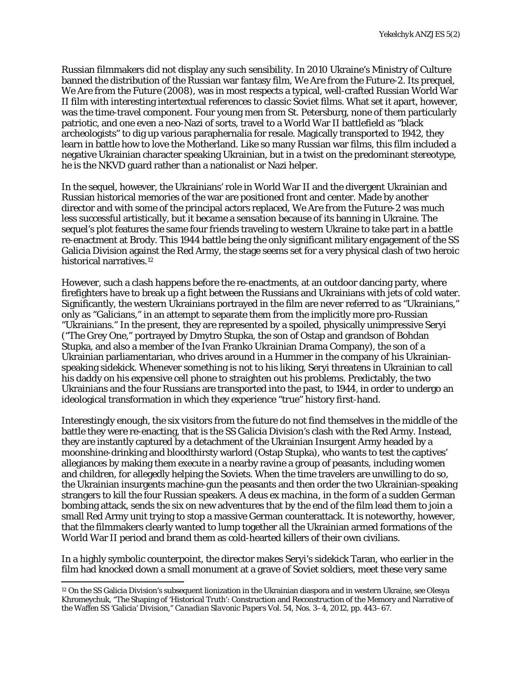Russian filmmakers did not display any such sensibility. In 2010 Ukraine's Ministry of Culture banned the distribution of the Russian war fantasy film, *We Are from the Future-2*. Its prequel, *We Are from the Future* (2008), was in most respects a typical, well-crafted Russian World War II film with interesting intertextual references to classic Soviet films. What set it apart, however, was the time-travel component. Four young men from St. Petersburg, none of them particularly patriotic, and one even a neo-Nazi of sorts, travel to a World War II battlefield as "black archeologists" to dig up various paraphernalia for resale. Magically transported to 1942, they learn in battle how to love the Motherland. Like so many Russian war films, this film included a negative Ukrainian character speaking Ukrainian, but in a twist on the predominant stereotype, he is the NKVD guard rather than a nationalist or Nazi helper.

In the sequel, however, the Ukrainians' role in World War II and the divergent Ukrainian and Russian historical memories of the war are positioned front and center. Made by another director and with some of the principal actors replaced, *We Are from the Future-2* was much less successful artistically, but it became a sensation because of its banning in Ukraine. The sequel's plot features the same four friends traveling to western Ukraine to take part in a battle re-enactment at Brody. This 1944 battle being the only significant military engagement of the SS Galicia Division against the Red Army, the stage seems set for a very physical clash of two heroic historical narratives.<sup>[12](#page-4-0)</sup>

However, such a clash happens before the re-enactments, at an outdoor dancing party, where firefighters have to break up a fight between the Russians and Ukrainians with jets of cold water. Significantly, the western Ukrainians portrayed in the film are never referred to as "Ukrainians," only as "Galicians," in an attempt to separate them from the implicitly more pro-Russian "Ukrainians." In the present, they are represented by a spoiled, physically unimpressive Seryi ("The Grey One," portrayed by Dmytro Stupka, the son of Ostap and grandson of Bohdan Stupka, and also a member of the Ivan Franko Ukrainian Drama Company), the son of a Ukrainian parliamentarian, who drives around in a Hummer in the company of his Ukrainianspeaking sidekick. Whenever something is not to his liking, Seryi threatens in Ukrainian to call his daddy on his expensive cell phone to straighten out his problems. Predictably, the two Ukrainians and the four Russians are transported into the past, to 1944, in order to undergo an ideological transformation in which they experience "true" history first-hand.

Interestingly enough, the six visitors from the future do not find themselves in the middle of the battle they were re-enacting, that is the SS Galicia Division's clash with the Red Army. Instead, they are instantly captured by a detachment of the Ukrainian Insurgent Army headed by a moonshine-drinking and bloodthirsty warlord (Ostap Stupka), who wants to test the captives' allegiances by making them execute in a nearby ravine a group of peasants, including women and children, for allegedly helping the Soviets. When the time travelers are unwilling to do so, the Ukrainian insurgents machine-gun the peasants and then order the two Ukrainian-speaking strangers to kill the four Russian speakers. A deus ex *machina*, in the form of a sudden German bombing attack, sends the six on new adventures that by the end of the film lead them to join a small Red Army unit trying to stop a massive German counterattack. It is noteworthy, however, that the filmmakers clearly wanted to lump together all the Ukrainian armed formations of the World War II period and brand them as cold-hearted killers of their own civilians.

In a highly symbolic counterpoint, the director makes Seryi's sidekick Taran, who earlier in the film had knocked down a small monument at a grave of Soviet soldiers, meet these very same

<span id="page-4-0"></span><sup>12</sup> On the SS Galicia Division's subsequent lionization in the Ukrainian diaspora and in western Ukraine, see Olesya Khromeychuk, "The Shaping of 'Historical Truth': Construction and Reconstruction of the Memory and Narrative of the Waffen SS 'Galicia' Division," *Canadian Slavonic Papers* Vol. 54, Nos. 3–4, 2012, pp. 443–67.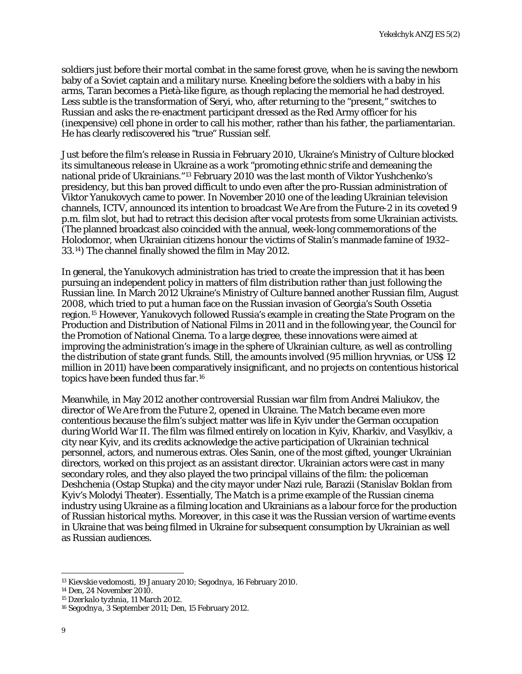soldiers just before their mortal combat in the same forest grove, when he is saving the newborn baby of a Soviet captain and a military nurse. Kneeling before the soldiers with a baby in his arms, Taran becomes a Pietà-like figure, as though replacing the memorial he had destroyed. Less subtle is the transformation of Seryi, who, after returning to the "present," switches to Russian and asks the re-enactment participant dressed as the Red Army officer for his (inexpensive) cell phone in order to call his mother, rather than his father, the parliamentarian. He has clearly rediscovered his "true" Russian self.

Just before the film's release in Russia in February 2010, Ukraine's Ministry of Culture blocked its simultaneous release in Ukraine as a work "promoting ethnic strife and demeaning the national pride of Ukrainians."[13](#page-5-0) February 2010 was the last month of Viktor Yushchenko's presidency, but this ban proved difficult to undo even after the pro-Russian administration of Viktor Yanukovych came to power. In November 2010 one of the leading Ukrainian television channels, ICTV, announced its intention to broadcast *We Are from the Future-2* in its coveted 9 p.m. film slot, but had to retract this decision after vocal protests from some Ukrainian activists. (The planned broadcast also coincided with the annual, week-long commemorations of the Holodomor, when Ukrainian citizens honour the victims of Stalin's manmade famine of 1932– 33.[14\)](#page-5-1) The channel finally showed the film in May 2012.

In general, the Yanukovych administration has tried to create the impression that it has been pursuing an independent policy in matters of film distribution rather than just following the Russian line. In March 2012 Ukraine's Ministry of Culture banned another Russian film, *August 2008*, which tried to put a human face on the Russian invasion of Georgia's South Ossetia region.[15](#page-5-2) However, Yanukovych followed Russia's example in creating the State Program on the Production and Distribution of National Films in 2011 and in the following year, the Council for the Promotion of National Cinema. To a large degree, these innovations were aimed at improving the administration's image in the sphere of Ukrainian culture, as well as controlling the distribution of state grant funds. Still, the amounts involved (95 million hryvnias, or US\$ 12 million in 2011) have been comparatively insignificant, and no projects on contentious historical topics have been funded thus far.[16](#page-5-3)

Meanwhile, in May 2012 another controversial Russian war film from Andrei Maliukov, the director of *We Are from the Future 2*, opened in Ukraine. *The Match* became even more contentious because the film's subject matter was life in Kyiv under the German occupation during World War II. The film was filmed entirely on location in Kyiv, Kharkiv, and Vasylkiv, a city near Kyiv, and its credits acknowledge the active participation of Ukrainian technical personnel, actors, and numerous extras. Oles Sanin, one of the most gifted, younger Ukrainian directors, worked on this project as an assistant director. Ukrainian actors were cast in many secondary roles, and they also played the two principal villains of the film: the policeman Deshchenia (Ostap Stupka) and the city mayor under Nazi rule, Barazii (Stanislav Boklan from Kyiv's Molodyi Theater). Essentially, *The Match* is a prime example of the Russian cinema industry using Ukraine as a filming location and Ukrainians as a labour force for the production of Russian historical myths. Moreover, in this case it was the Russian version of wartime events in Ukraine that was being filmed in Ukraine for subsequent consumption by Ukrainian as well as Russian audiences.

<span id="page-5-0"></span><sup>13</sup> *Kievskie vedomosti*, 19 January 2010; *Segodnya*, 16 February 2010.

<span id="page-5-1"></span><sup>14</sup> *Den*, 24 November 2010.

<span id="page-5-2"></span><sup>15</sup> *Dzerkalo tyzhnia*, 11 March 2012.

<span id="page-5-3"></span><sup>16</sup> *Segodnya*, 3 September 2011; *Den*, 15 February 2012.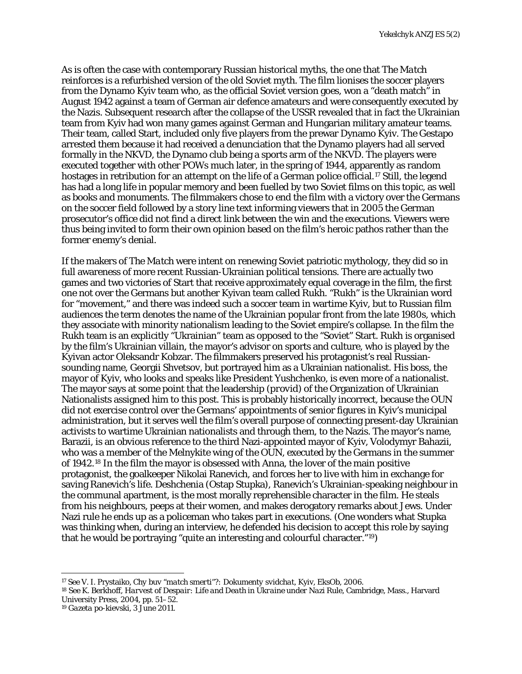As is often the case with contemporary Russian historical myths, the one that *The Match* reinforces is a refurbished version of the old Soviet myth. The film lionises the soccer players from the Dynamo Kyiv team who, as the official Soviet version goes, won a "death match" in August 1942 against a team of German air defence amateurs and were consequently executed by the Nazis. Subsequent research after the collapse of the USSR revealed that in fact the Ukrainian team from Kyiv had won many games against German and Hungarian military amateur teams. Their team, called Start, included only five players from the prewar Dynamo Kyiv. The Gestapo arrested them because it had received a denunciation that the Dynamo players had all served formally in the NKVD, the Dynamo club being a sports arm of the NKVD. The players were executed together with other POWs much later, in the spring of 1944, apparently as random hostages in retribution for an attempt on the life of a German police official.<sup>[17](#page-6-0)</sup> Still, the legend has had a long life in popular memory and been fuelled by two Soviet films on this topic, as well as books and monuments. The filmmakers chose to end the film with a victory over the Germans on the soccer field followed by a story line text informing viewers that in 2005 the German prosecutor's office did not find a direct link between the win and the executions. Viewers were thus being invited to form their own opinion based on the film's heroic pathos rather than the former enemy's denial.

If the makers of *The Match* were intent on renewing Soviet patriotic mythology, they did so in full awareness of more recent Russian-Ukrainian political tensions. There are actually two games and two victories of Start that receive approximately equal coverage in the film, the first one not over the Germans but another Kyivan team called Rukh. "Rukh" is the Ukrainian word for "movement," and there was indeed such a soccer team in wartime Kyiv, but to Russian film audiences the term denotes the name of the Ukrainian popular front from the late 1980s, which they associate with minority nationalism leading to the Soviet empire's collapse. In the film the Rukh team is an explicitly "Ukrainian" team as opposed to the "Soviet" Start. Rukh is organised by the film's Ukrainian villain, the mayor's advisor on sports and culture, who is played by the Kyivan actor Oleksandr Kobzar. The filmmakers preserved his protagonist's real Russiansounding name, Georgii Shvetsov, but portrayed him as a Ukrainian nationalist. His boss, the mayor of Kyiv, who looks and speaks like President Yushchenko, is even more of a nationalist. The mayor says at some point that the leadership (*provid*) of the Organization of Ukrainian Nationalists assigned him to this post. This is probably historically incorrect, because the OUN did not exercise control over the Germans' appointments of senior figures in Kyiv's municipal administration, but it serves well the film's overall purpose of connecting present-day Ukrainian activists to wartime Ukrainian nationalists and through them, to the Nazis. The mayor's name, Barazii, is an obvious reference to the third Nazi-appointed mayor of Kyiv, Volodymyr Bahazii, who was a member of the Melnykite wing of the OUN, executed by the Germans in the summer of 1942.[18](#page-6-1) In the film the mayor is obsessed with Anna, the lover of the main positive protagonist, the goalkeeper Nikolai Ranevich, and forces her to live with him in exchange for saving Ranevich's life. Deshchenia (Ostap Stupka), Ranevich's Ukrainian-speaking neighbour in the communal apartment, is the most morally reprehensible character in the film. He steals from his neighbours, peeps at their women, and makes derogatory remarks about Jews. Under Nazi rule he ends up as a policeman who takes part in executions. (One wonders what Stupka was thinking when, during an interview, he defended his decision to accept this role by saying that he would be portraying "quite an interesting and colourful character."[19](#page-6-2))

<span id="page-6-0"></span><sup>17</sup> See V. I. Prystaiko, *Chy buv "match smerti"?: Dokumenty svidchat*, Kyiv, EksOb, 2006.

<span id="page-6-1"></span><sup>18</sup> See K. Berkhoff, *Harvest of Despair: Life and Death in Ukraine under Nazi Rule*, Cambridge, Mass., Harvard University Press, 2004, pp. 51–52.

<span id="page-6-2"></span><sup>19</sup> *Gazeta po-kievski*, 3 June 2011.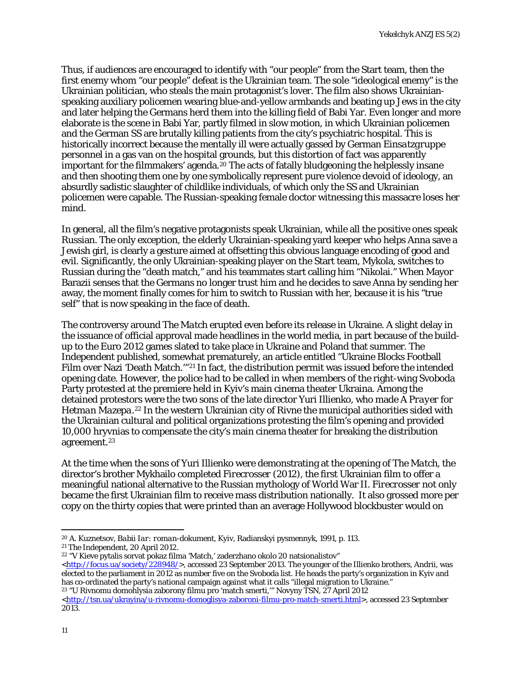Thus, if audiences are encouraged to identify with "our people" from the Start team, then the first enemy whom "our people" defeat is the Ukrainian team. The sole "ideological enemy" is the Ukrainian politician, who steals the main protagonist's lover. The film also shows Ukrainianspeaking auxiliary policemen wearing blue-and-yellow armbands and beating up Jews in the city and later helping the Germans herd them into the killing field of Babi Yar. Even longer and more elaborate is the scene in Babi Yar, partly filmed in slow motion, in which Ukrainian policemen and the German SS are brutally killing patients from the city's psychiatric hospital. This is historically incorrect because the mentally ill were actually gassed by German *Einsatzgruppe* personnel in a gas van on the hospital grounds, but this distortion of fact was apparently important for the filmmakers' agenda.<sup>[20](#page-7-0)</sup> The acts of fatally bludgeoning the helplessly insane and then shooting them one by one symbolically represent pure violence devoid of ideology, an absurdly sadistic slaughter of childlike individuals, of which only the SS and Ukrainian policemen were capable. The Russian-speaking female doctor witnessing this massacre loses her mind.

In general, all the film's negative protagonists speak Ukrainian, while all the positive ones speak Russian. The only exception, the elderly Ukrainian-speaking yard keeper who helps Anna save a Jewish girl, is clearly a gesture aimed at offsetting this obvious language encoding of good and evil. Significantly, the only Ukrainian-speaking player on the Start team, Mykola, switches to Russian during the "death match," and his teammates start calling him "Nikolai." When Mayor Barazii senses that the Germans no longer trust him and he decides to save Anna by sending her away, the moment finally comes for him to switch to Russian with her, because it is his "true self" that is now speaking in the face of death.

The controversy around *The Match* erupted even before its release in Ukraine. A slight delay in the issuance of official approval made headlines in the world media, in part because of the buildup to the Euro 2012 games slated to take place in Ukraine and Poland that summer. *The Independent* published, somewhat prematurely, an article entitled "Ukraine Blocks Football Film over Nazi 'Death Match.'"[21](#page-7-1) In fact, the distribution permit was issued before the intended opening date. However, the police had to be called in when members of the right-wing Svoboda Party protested at the premiere held in Kyiv's main cinema theater Ukraina. Among the detained protestors were the two sons of the late director Yuri Illienko, who made *A Prayer for Hetman Mazepa*.[22](#page-7-2) In the western Ukrainian city of Rivne the municipal authorities sided with the Ukrainian cultural and political organizations protesting the film's opening and provided 10,000 hryvnias to compensate the city's main cinema theater for breaking the distribution agreement.[23](#page-7-3)

At the time when the sons of Yuri Illienko were demonstrating at the opening of *The Match*, the director's brother Mykhailo completed *Firecrosser* (2012), the first Ukrainian film to offer a meaningful national alternative to the Russian mythology of World War II. *Firecrosser* not only became the first Ukrainian film to receive mass distribution nationally. It also grossed more per copy on the thirty copies that were printed than an average Hollywood blockbuster would on

<span id="page-7-3"></span><sup>23</sup> "U Rivnomu domohlysia zaborony filmu pro 'match smerti,'" Novyny TSN, 27 April 2012

<sup>20</sup> A. Kuznetsov, *Babii Iar: roman-dokument*, Kyiv, Radianskyi pysmennyk, 1991, p. 113. l

<span id="page-7-1"></span><span id="page-7-0"></span><sup>21</sup> *The Independent*, 20 April 2012.

<span id="page-7-2"></span><sup>22</sup> "V Kieve pytalis sorvat pokaz filma 'Match,' zaderzhano okolo 20 natsionalistov" [<http://focus.ua/society/228948/>](http://focus.ua/society/228948/), accessed 23 September 2013. The younger of the Illienko brothers, Andrii, was elected to the parliament in 2012 as number five on the Svoboda list. He heads the party's organization in Kyiv and has co-ordinated the party's national campaign against what it calls "illegal migration to Ukraine."

[<sup>&</sup>lt;http://tsn.ua/ukrayina/u-rivnomu-domoglisya-zaboroni-filmu-pro-match-smerti.html>](http://tsn.ua/ukrayina/u-rivnomu-domoglisya-zaboroni-filmu-pro-match-smerti.html), accessed 23 September 2013.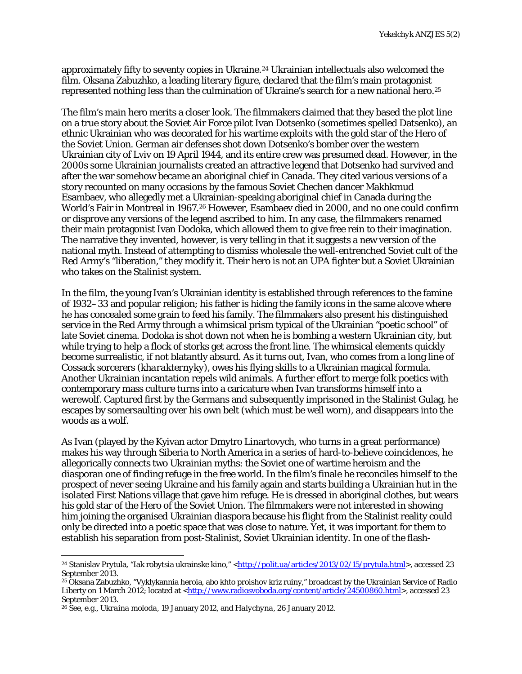approximately fifty to seventy copies in Ukraine.<sup>[24](#page-8-0)</sup> Ukrainian intellectuals also welcomed the film. Oksana Zabuzhko, a leading literary figure, declared that the film's main protagonist represented nothing less than the culmination of Ukraine's search for a new national hero.<sup>[25](#page-8-1)</sup>

The film's main hero merits a closer look. The filmmakers claimed that they based the plot line on a true story about the Soviet Air Force pilot Ivan Dotsenko (sometimes spelled Datsenko), an ethnic Ukrainian who was decorated for his wartime exploits with the gold star of the Hero of the Soviet Union. German air defenses shot down Dotsenko's bomber over the western Ukrainian city of Lviv on 19 April 1944, and its entire crew was presumed dead. However, in the 2000s some Ukrainian journalists created an attractive legend that Dotsenko had survived and after the war somehow became an aboriginal chief in Canada. They cited various versions of a story recounted on many occasions by the famous Soviet Chechen dancer Makhkmud Esambaev, who allegedly met a Ukrainian-speaking aboriginal chief in Canada during the World's Fair in Montreal in 1967.[26](#page-8-2) However, Esambaev died in 2000, and no one could confirm or disprove any versions of the legend ascribed to him. In any case, the filmmakers renamed their main protagonist Ivan Dodoka, which allowed them to give free rein to their imagination. The narrative they invented, however, is very telling in that it suggests a new version of the national myth. Instead of attempting to dismiss wholesale the well-entrenched Soviet cult of the Red Army's "liberation," they modify it. Their hero is not an UPA fighter but a Soviet Ukrainian who takes on the Stalinist system.

In the film, the young Ivan's Ukrainian identity is established through references to the famine of 1932–33 and popular religion; his father is hiding the family icons in the same alcove where he has concealed some grain to feed his family. The filmmakers also present his distinguished service in the Red Army through a whimsical prism typical of the Ukrainian "poetic school" of late Soviet cinema. Dodoka is shot down not when he is bombing a western Ukrainian city, but while trying to help a flock of storks get across the front line. The whimsical elements quickly become surrealistic, if not blatantly absurd. As it turns out, Ivan, who comes from a long line of Cossack sorcerers (*kharakternyky*), owes his flying skills to a Ukrainian magical formula. Another Ukrainian incantation repels wild animals. A further effort to merge folk poetics with contemporary mass culture turns into a caricature when Ivan transforms himself into a werewolf. Captured first by the Germans and subsequently imprisoned in the Stalinist Gulag, he escapes by somersaulting over his own belt (which must be well worn), and disappears into the woods as a wolf.

As Ivan (played by the Kyivan actor Dmytro Linartovych, who turns in a great performance) makes his way through Siberia to North America in a series of hard-to-believe coincidences, he allegorically connects two Ukrainian myths: the Soviet one of wartime heroism and the diasporan one of finding refuge in the free world. In the film's finale he reconciles himself to the prospect of never seeing Ukraine and his family again and starts building a Ukrainian hut in the isolated First Nations village that gave him refuge. He is dressed in aboriginal clothes, but wears his gold star of the Hero of the Soviet Union. The filmmakers were not interested in showing him joining the organised Ukrainian diaspora because his flight from the Stalinist reality could only be directed into a poetic space that was close to nature. Yet, it was important for them to establish his separation from post-Stalinist, Soviet Ukrainian identity. In one of the flash-

<span id="page-8-0"></span><sup>&</sup>lt;sup>24</sup> Stanislav Prytula, "Iak robytsia ukrainske kino," <<u>http://polit.ua/articles/2013/02/15/prytula.html</u>>, accessed 23 September 2013. l

<span id="page-8-1"></span><sup>25</sup> Oksana Zabuzhko, "Vyklykannia heroia, abo khto proishov kriz ruiny," broadcast by the Ukrainian Service of Radio Liberty on 1 March 2012; located at [<http://www.radiosvoboda.org/content/article/24500860.html>](http://www.radiosvoboda.org/content/article/24500860.html), accessed 23 September 2013.

<span id="page-8-2"></span><sup>26</sup> See, e.g., *Ukraina moloda*, 19 January 2012, and *Halychyna*, 26 January 2012.